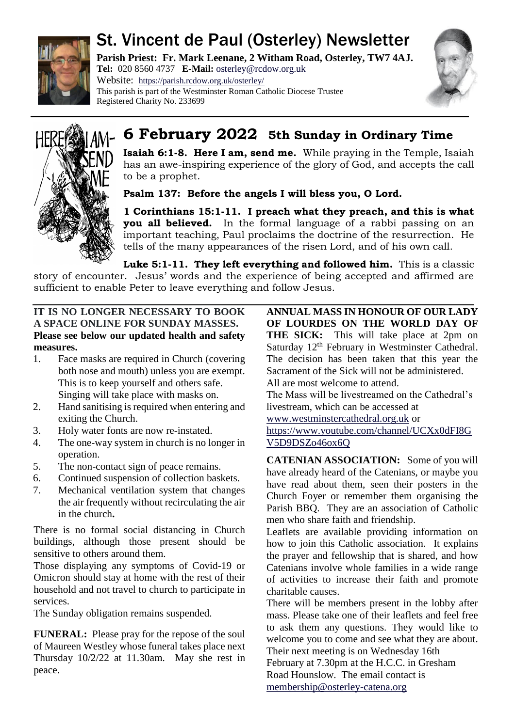

# St. Vincent de Paul (Osterley) Newsletter

**Parish Priest: Fr. Mark Leenane, 2 Witham Road, Osterley, TW7 4AJ. Tel:** 020 8560 4737 **E-Mail:** [osterley@rcdow.org.uk](mailto:osterley@rcdow.org.uk)

Website: <https://parish.rcdow.org.uk/osterley/> This parish is part of the Westminster Roman Catholic Diocese Trustee Registered Charity No. 233699





## **6 February 2022 5th Sunday in Ordinary Time**

**Isaiah 6:1-8. Here I am, send me.** While praying in the Temple, Isaiah has an awe-inspiring experience of the glory of God, and accepts the call to be a prophet.

**Psalm 137: Before the angels I will bless you, O Lord.**

**1 Corinthians 15:1-11. I preach what they preach, and this is what you all believed.** In the formal language of a rabbi passing on an important teaching, Paul proclaims the doctrine of the resurrection. He tells of the many appearances of the risen Lord, and of his own call.

**Luke 5:1-11. They left everything and followed him.** This is a classic story of encounter. Jesus' words and the experience of being accepted and affirmed are sufficient to enable Peter to leave everything and follow Jesus.

## **IT IS NO LONGER NECESSARY TO BOOK A SPACE ONLINE FOR SUNDAY MASSES. Please see below our updated health and safety measures.**

- 1. Face masks are required in Church (covering both nose and mouth) unless you are exempt. This is to keep yourself and others safe. Singing will take place with masks on.
- 2. Hand sanitising is required when entering and exiting the Church.
- 3. Holy water fonts are now re-instated.
- 4. The one-way system in church is no longer in operation.
- 5. The non-contact sign of peace remains.
- 6. Continued suspension of collection baskets.
- 7. Mechanical ventilation system that changes the air frequently without recirculating the air in the church**.**

There is no formal social distancing in Church buildings, although those present should be sensitive to others around them.

Those displaying any symptoms of Covid-19 or Omicron should stay at home with the rest of their household and not travel to church to participate in services.

The Sunday obligation remains suspended.

**FUNERAL:** Please pray for the repose of the soul of Maureen Westley whose funeral takes place next Thursday 10/2/22 at 11.30am. May she rest in peace.

**ANNUAL MASS IN HONOUR OF OUR LADY OF LOURDES ON THE WORLD DAY OF THE SICK:** This will take place at 2pm on Saturday 12<sup>th</sup> February in Westminster Cathedral. The decision has been taken that this year the Sacrament of the Sick will not be administered. All are most welcome to attend. The Mass will be livestreamed on the Cathedral's

livestream, which can be accessed at

[www.westminstercathedral.org.uk](http://www.westminstercathedral.org.uk/) or [https://www.youtube.com/channel/UCXx0dFI8G](https://www.youtube.com/channel/UCXx0dFI8GV5D9DSZo46ox6Q) [V5D9DSZo46ox6Q](https://www.youtube.com/channel/UCXx0dFI8GV5D9DSZo46ox6Q)

**CATENIAN ASSOCIATION:** Some of you will have already heard of the Catenians, or maybe you have read about them, seen their posters in the Church Foyer or remember them organising the Parish BBQ. They are an association of Catholic men who share faith and friendship.

Leaflets are available providing information on how to join this Catholic association. It explains the prayer and fellowship that is shared, and how Catenians involve whole families in a wide range of activities to increase their faith and promote charitable causes.

There will be members present in the lobby after mass. Please take one of their leaflets and feel free to ask them any questions. They would like to welcome you to come and see what they are about. Their next meeting is on Wednesday 16th

February at 7.30pm at the H.C.C. in Gresham Road Hounslow. The email contact is [membership@osterley-catena.org](mailto:membership@osterley-catena.org)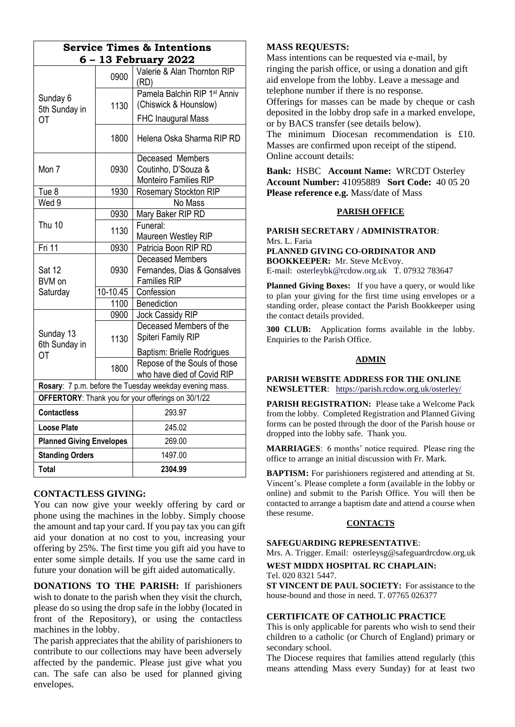| <b>Service Times &amp; Intentions</b><br>6 - 13 February 2022 |            |                                                                   |
|---------------------------------------------------------------|------------|-------------------------------------------------------------------|
| Sunday 6<br>5th Sunday in<br>ОT                               | 0900       | Valerie & Alan Thornton RIP<br>(RD)                               |
|                                                               | 1130       | Pamela Balchin RIP 1 <sup>st</sup> Anniv<br>(Chiswick & Hounslow) |
|                                                               |            | <b>FHC Inaugural Mass</b>                                         |
|                                                               | 1800       | Helena Oska Sharma RIP RD                                         |
| Mon 7                                                         | 0930       | Deceased Members<br>Coutinho, D'Souza &                           |
|                                                               |            | Monteiro Families RIP                                             |
| Tue 8                                                         | 1930       | Rosemary Stockton RIP                                             |
| Wed 9                                                         |            | No Mass                                                           |
| Thu 10                                                        | 0930       | Mary Baker RIP RD                                                 |
|                                                               | 1130       | Funeral:                                                          |
|                                                               |            | Maureen Westley RIP                                               |
| Fri 11                                                        | 0930       | Patricia Boon RIP RD                                              |
| <b>Sat 12</b><br>BVM on<br>Saturday                           | 0930       | <b>Deceased Members</b>                                           |
|                                                               |            | Fernandes, Dias & Gonsalves                                       |
|                                                               |            | <b>Families RIP</b>                                               |
|                                                               | $10-10.45$ | Confession                                                        |
|                                                               | 1100       | Benediction                                                       |
| Sunday 13<br>6th Sunday in<br><b>OT</b>                       | 0900       | Jock Cassidy RIP                                                  |
|                                                               | 1130       | Deceased Members of the                                           |
|                                                               |            | Spiteri Family RIP                                                |
|                                                               |            | Baptism: Brielle Rodrigues                                        |
|                                                               | 1800       | Repose of the Souls of those                                      |
|                                                               |            | who have died of Covid RIP                                        |
| Rosary: 7 p.m. before the Tuesday weekday evening mass.       |            |                                                                   |
| OFFERTORY: Thank you for your offerings on 30/1/22            |            |                                                                   |
| <b>Contactless</b>                                            |            | 293.97                                                            |
| <b>Loose Plate</b>                                            |            | 245.02                                                            |
| <b>Planned Giving Envelopes</b>                               |            | 269.00                                                            |
| <b>Standing Orders</b>                                        |            | 1497.00                                                           |
| Total                                                         |            | 2304.99                                                           |

## **CONTACTLESS GIVING:**

You can now give your weekly offering by card or phone using the machines in the lobby. Simply choose the amount and tap your card. If you pay tax you can gift aid your donation at no cost to you, increasing your offering by 25%. The first time you gift aid you have to enter some simple details. If you use the same card in future your donation will be gift aided automatically.

**DONATIONS TO THE PARISH:** If parishioners wish to donate to the parish when they visit the church, please do so using the drop safe in the lobby (located in front of the Repository), or using the contactless machines in the lobby.

The parish appreciates that the ability of parishioners to contribute to our collections may have been adversely affected by the pandemic. Please just give what you can. The safe can also be used for planned giving envelopes.

## **MASS REQUESTS:**

Mass intentions can be requested via e-mail, by ringing the parish office, or using a donation and gift aid envelope from the lobby. Leave a message and telephone number if there is no response. Offerings for masses can be made by cheque or cash deposited in the lobby drop safe in a marked envelope, or by BACS transfer (see details below). The minimum Diocesan recommendation is £10. Masses are confirmed upon receipt of the stipend.

Online account details:

**Bank:** HSBC **Account Name:** WRCDT Osterley **Account Number:** 41095889 **Sort Code:** 40 05 20 **Please reference e.g.** Mass/date of Mass

## **PARISH OFFICE**

**PARISH SECRETARY / ADMINISTRATOR**: Mrs. L. Faria **PLANNED GIVING CO-ORDINATOR AND**

**BOOKKEEPER:** Mr. Steve McEvoy. E-mail: [osterleybk@rcdow.org.uk](mailto:osterleybk@rcdow.org.uk) T. 07932 783647

**Planned Giving Boxes:** If you have a query, or would like to plan your giving for the first time using envelopes or a standing order, please contact the Parish Bookkeeper using the contact details provided.

**300 CLUB:** Application forms available in the lobby. Enquiries to the Parish Office.

## **ADMIN**

**PARISH WEBSITE ADDRESS FOR THE ONLINE NEWSLETTER**: <https://parish.rcdow.org.uk/osterley/>

**PARISH REGISTRATION:** Please take a Welcome Pack from the lobby. Completed Registration and Planned Giving forms can be posted through the door of the Parish house or dropped into the lobby safe. Thank you.

**MARRIAGES**: 6 months' notice required. Please ring the office to arrange an initial discussion with Fr. Mark.

**BAPTISM:** For parishioners registered and attending at St. Vincent's. Please complete a form (available in the lobby or online) and submit to the Parish Office. You will then be contacted to arrange a baptism date and attend a course when these resume.

## **CONTACTS**

#### **SAFEGUARDING REPRESENTATIVE**:

Mrs. A. Trigger. Email: osterleysg@safeguardrcdow.org.uk

## **WEST MIDDX HOSPITAL RC CHAPLAIN:**

Tel. 020 8321 5447.

**ST VINCENT DE PAUL SOCIETY:** For assistance to the house-bound and those in need. T. 07765 026377

## **CERTIFICATE OF CATHOLIC PRACTICE**

This is only applicable for parents who wish to send their children to a catholic (or Church of England) primary or secondary school.

The Diocese requires that families attend regularly (this means attending Mass every Sunday) for at least two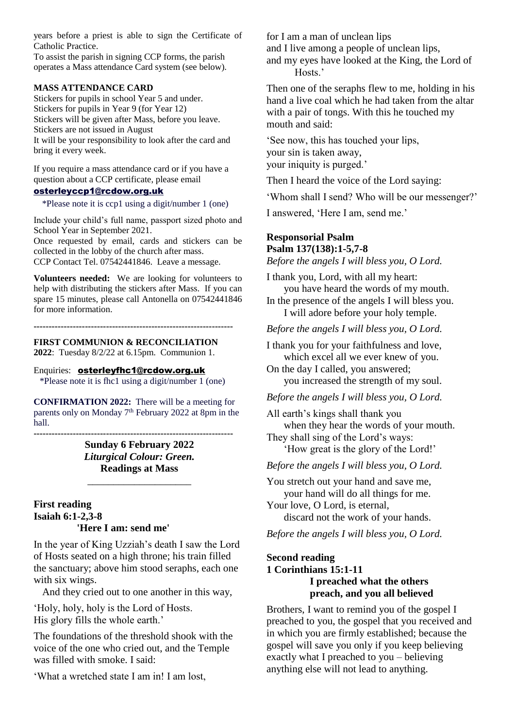years before a priest is able to sign the Certificate of Catholic Practice.

To assist the parish in signing CCP forms, the parish operates a Mass attendance Card system (see below).

#### **MASS ATTENDANCE CARD**

Stickers for pupils in school Year 5 and under. Stickers for pupils in Year 9 (for Year 12) Stickers will be given after Mass, before you leave. Stickers are not issued in August It will be your responsibility to look after the card and bring it every week.

If you require a mass attendance card or if you have a question about a CCP certificate, please email

## [osterleyccp1@rcdow.org.uk](mailto:osterleyccp1@rcdow.org.uk)

\*Please note it is ccp1 using a digit/number 1 (one)

Include your child's full name, passport sized photo and School Year in September 2021.

Once requested by email, cards and stickers can be collected in the lobby of the church after mass. CCP Contact Tel. 07542441846. Leave a message.

**Volunteers needed:** We are looking for volunteers to help with distributing the stickers after Mass. If you can spare 15 minutes, please call Antonella on 07542441846 for more information.

**------------------------------------------------------------------**

#### **FIRST COMMUNION & RECONCILIATION**

**2022**: Tuesday 8/2/22 at 6.15pm. Communion 1.

#### Enquiries: [osterleyfhc1@rcdow.org.uk](mailto:osterleyfhc1@rcdow.org.uk) \*Please note it is fhc1 using a digit/number 1 (one)

**CONFIRMATION 2022:** There will be a meeting for parents only on Monday 7<sup>th</sup> February 2022 at 8pm in the hall.

> **Sunday 6 February 2022** *Liturgical Colour: Green.* **Readings at Mass**

\_\_\_\_\_\_\_\_\_\_\_\_\_\_\_\_\_\_\_\_

**------------------------------------------------------------------**

## **First reading Isaiah 6:1-2,3-8 'Here I am: send me'**

In the year of King Uzziah's death I saw the Lord of Hosts seated on a high throne; his train filled the sanctuary; above him stood seraphs, each one with six wings.

And they cried out to one another in this way,

'Holy, holy, holy is the Lord of Hosts. His glory fills the whole earth.'

The foundations of the threshold shook with the voice of the one who cried out, and the Temple was filled with smoke. I said:

'What a wretched state I am in! I am lost,

for I am a man of unclean lips and I live among a people of unclean lips, and my eyes have looked at the King, the Lord of Hosts.'

Then one of the seraphs flew to me, holding in his hand a live coal which he had taken from the altar with a pair of tongs. With this he touched my mouth and said:

'See now, this has touched your lips, your sin is taken away, your iniquity is purged.'

Then I heard the voice of the Lord saying:

'Whom shall I send? Who will be our messenger?'

I answered, 'Here I am, send me.'

## **Responsorial Psalm Psalm 137(138):1-5,7-8**

*Before the angels I will bless you, O Lord.*

I thank you, Lord, with all my heart: you have heard the words of my mouth.

In the presence of the angels I will bless you. I will adore before your holy temple.

*Before the angels I will bless you, O Lord.*

I thank you for your faithfulness and love, which excel all we ever knew of you.

On the day I called, you answered; you increased the strength of my soul.

## *Before the angels I will bless you, O Lord.*

All earth's kings shall thank you when they hear the words of your mouth.

They shall sing of the Lord's ways: 'How great is the glory of the Lord!'

*Before the angels I will bless you, O Lord.*

You stretch out your hand and save me, your hand will do all things for me. Your love, O Lord, is eternal,

discard not the work of your hands.

*Before the angels I will bless you, O Lord.*

## **Second reading 1 Corinthians 15:1-11 I preached what the others preach, and you all believed**

Brothers, I want to remind you of the gospel I preached to you, the gospel that you received and in which you are firmly established; because the gospel will save you only if you keep believing exactly what I preached to you – believing anything else will not lead to anything.